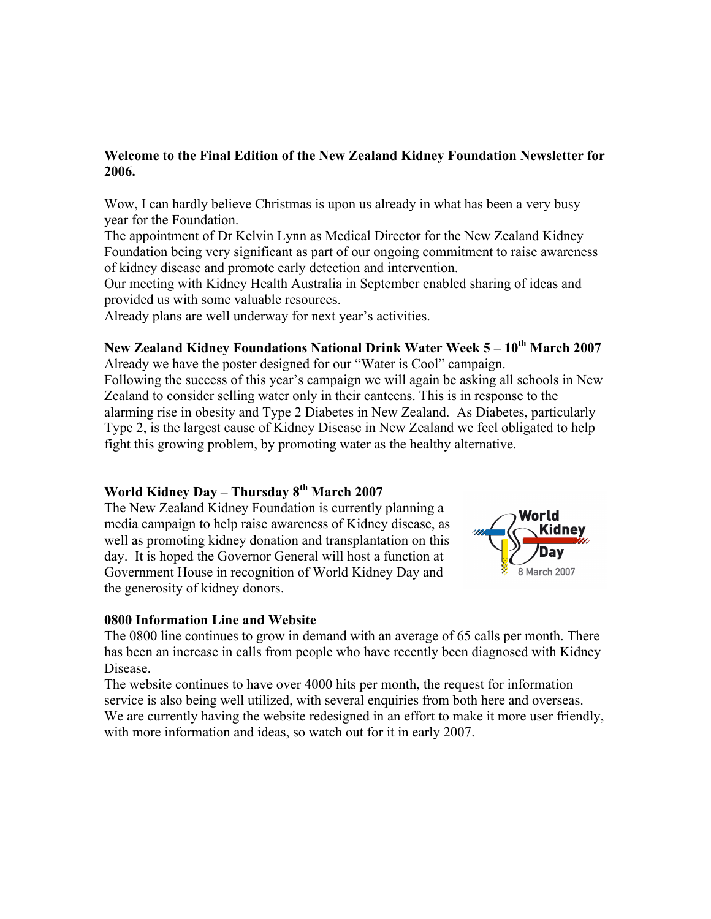### **Welcome to the Final Edition of the New Zealand Kidney Foundation Newsletter for 2006.**

Wow, I can hardly believe Christmas is upon us already in what has been a very busy year for the Foundation.

The appointment of Dr Kelvin Lynn as Medical Director for the New Zealand Kidney Foundation being very significant as part of our ongoing commitment to raise awareness of kidney disease and promote early detection and intervention.

Our meeting with Kidney Health Australia in September enabled sharing of ideas and provided us with some valuable resources.

Already plans are well underway for next year's activities.

# New Zealand Kidney Foundations National Drink Water Week 5 – 10<sup>th</sup> March 2007

Already we have the poster designed for our "Water is Cool" campaign. Following the success of this year's campaign we will again be asking all schools in New Zealand to consider selling water only in their canteens. This is in response to the alarming rise in obesity and Type 2 Diabetes in New Zealand. As Diabetes, particularly Type 2, is the largest cause of Kidney Disease in New Zealand we feel obligated to help fight this growing problem, by promoting water as the healthy alternative.

# **World Kidney Day – Thursday 8th March 2007**

The New Zealand Kidney Foundation is currently planning a media campaign to help raise awareness of Kidney disease, as well as promoting kidney donation and transplantation on this day. It is hoped the Governor General will host a function at Government House in recognition of World Kidney Day and the generosity of kidney donors.



### **0800 Information Line and Website**

The 0800 line continues to grow in demand with an average of 65 calls per month. There has been an increase in calls from people who have recently been diagnosed with Kidney **Disease** 

The website continues to have over 4000 hits per month, the request for information service is also being well utilized, with several enquiries from both here and overseas. We are currently having the website redesigned in an effort to make it more user friendly, with more information and ideas, so watch out for it in early 2007.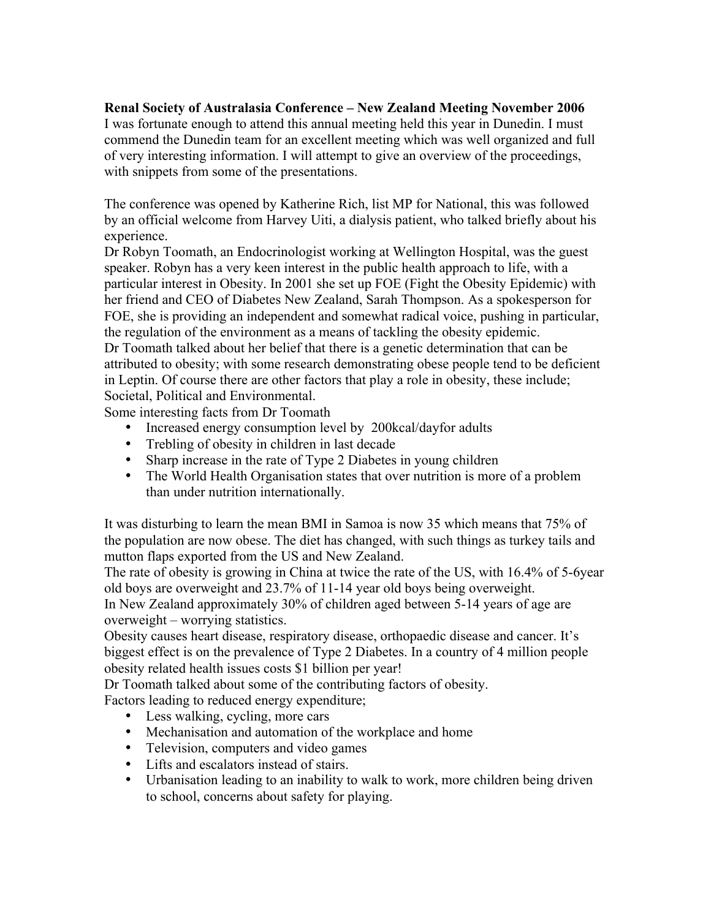## **Renal Society of Australasia Conference – New Zealand Meeting November 2006**

I was fortunate enough to attend this annual meeting held this year in Dunedin. I must commend the Dunedin team for an excellent meeting which was well organized and full of very interesting information. I will attempt to give an overview of the proceedings, with snippets from some of the presentations.

The conference was opened by Katherine Rich, list MP for National, this was followed by an official welcome from Harvey Uiti, a dialysis patient, who talked briefly about his experience.

Dr Robyn Toomath, an Endocrinologist working at Wellington Hospital, was the guest speaker. Robyn has a very keen interest in the public health approach to life, with a particular interest in Obesity. In 2001 she set up FOE (Fight the Obesity Epidemic) with her friend and CEO of Diabetes New Zealand, Sarah Thompson. As a spokesperson for FOE, she is providing an independent and somewhat radical voice, pushing in particular, the regulation of the environment as a means of tackling the obesity epidemic. Dr Toomath talked about her belief that there is a genetic determination that can be attributed to obesity; with some research demonstrating obese people tend to be deficient in Leptin. Of course there are other factors that play a role in obesity, these include; Societal, Political and Environmental.

Some interesting facts from Dr Toomath

- Increased energy consumption level by 200kcal/dayfor adults
- Trebling of obesity in children in last decade
- Sharp increase in the rate of Type 2 Diabetes in young children
- The World Health Organisation states that over nutrition is more of a problem than under nutrition internationally.

It was disturbing to learn the mean BMI in Samoa is now 35 which means that 75% of the population are now obese. The diet has changed, with such things as turkey tails and mutton flaps exported from the US and New Zealand.

The rate of obesity is growing in China at twice the rate of the US, with 16.4% of 5-6year old boys are overweight and 23.7% of 11-14 year old boys being overweight. In New Zealand approximately 30% of children aged between 5-14 years of age are

overweight – worrying statistics. Obesity causes heart disease, respiratory disease, orthopaedic disease and cancer. It's biggest effect is on the prevalence of Type 2 Diabetes. In a country of 4 million people obesity related health issues costs \$1 billion per year!

Dr Toomath talked about some of the contributing factors of obesity.

Factors leading to reduced energy expenditure;

- Less walking, cycling, more cars
- Mechanisation and automation of the workplace and home
- Television, computers and video games
- Lifts and escalators instead of stairs.
- Urbanisation leading to an inability to walk to work, more children being driven to school, concerns about safety for playing.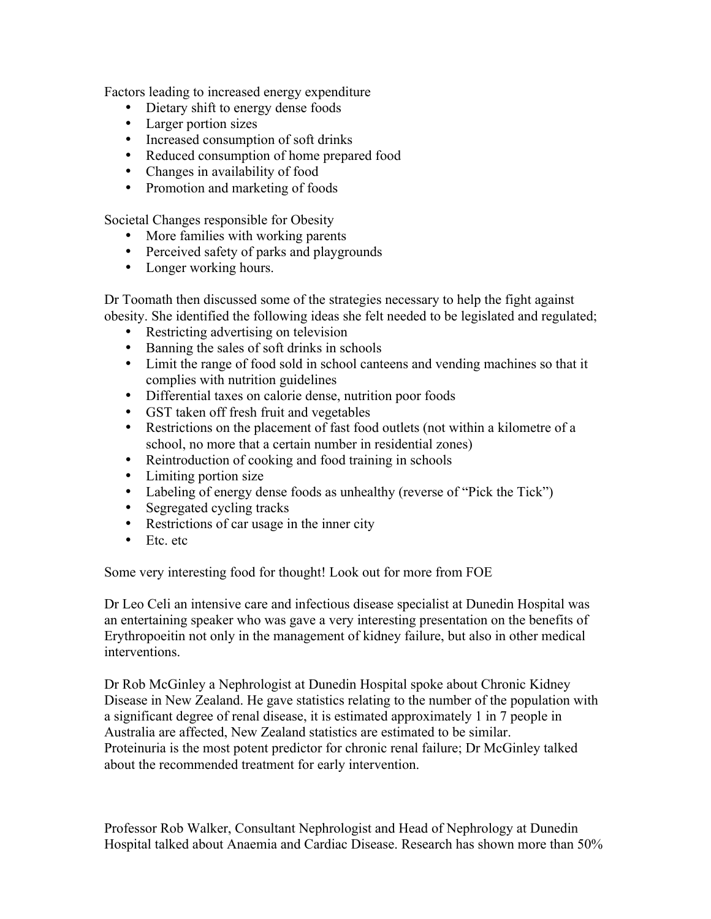Factors leading to increased energy expenditure

- Dietary shift to energy dense foods
- Larger portion sizes
- Increased consumption of soft drinks
- Reduced consumption of home prepared food
- Changes in availability of food
- Promotion and marketing of foods

Societal Changes responsible for Obesity

- More families with working parents
- Perceived safety of parks and playgrounds
- Longer working hours.

Dr Toomath then discussed some of the strategies necessary to help the fight against obesity. She identified the following ideas she felt needed to be legislated and regulated;

- Restricting advertising on television
- Banning the sales of soft drinks in schools
- Limit the range of food sold in school canteens and vending machines so that it complies with nutrition guidelines
- Differential taxes on calorie dense, nutrition poor foods
- GST taken off fresh fruit and vegetables
- Restrictions on the placement of fast food outlets (not within a kilometre of a school, no more that a certain number in residential zones)
- Reintroduction of cooking and food training in schools
- Limiting portion size
- Labeling of energy dense foods as unhealthy (reverse of "Pick the Tick")
- Segregated cycling tracks
- Restrictions of car usage in the inner city
- Etc. etc.

Some very interesting food for thought! Look out for more from FOE

Dr Leo Celi an intensive care and infectious disease specialist at Dunedin Hospital was an entertaining speaker who was gave a very interesting presentation on the benefits of Erythropoeitin not only in the management of kidney failure, but also in other medical interventions.

Dr Rob McGinley a Nephrologist at Dunedin Hospital spoke about Chronic Kidney Disease in New Zealand. He gave statistics relating to the number of the population with a significant degree of renal disease, it is estimated approximately 1 in 7 people in Australia are affected, New Zealand statistics are estimated to be similar. Proteinuria is the most potent predictor for chronic renal failure; Dr McGinley talked about the recommended treatment for early intervention.

Professor Rob Walker, Consultant Nephrologist and Head of Nephrology at Dunedin Hospital talked about Anaemia and Cardiac Disease. Research has shown more than 50%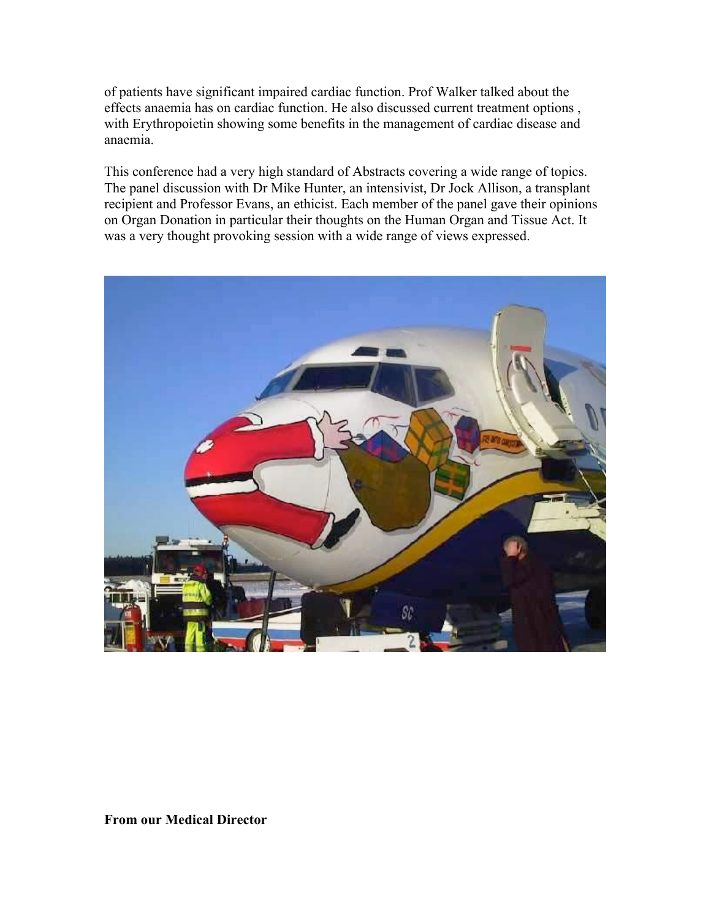of patients have significant impaired cardiac function. Prof Walker talked about the effects anaemia has on cardiac function. He also discussed current treatment options , with Erythropoietin showing some benefits in the management of cardiac disease and anaemia.

This conference had a very high standard of Abstracts covering a wide range of topics. The panel discussion with Dr Mike Hunter, an intensivist, Dr Jock Allison, a transplant recipient and Professor Evans, an ethicist. Each member of the panel gave their opinions on Organ Donation in particular their thoughts on the Human Organ and Tissue Act. It was a very thought provoking session with a wide range of views expressed.



**From our Medical Director**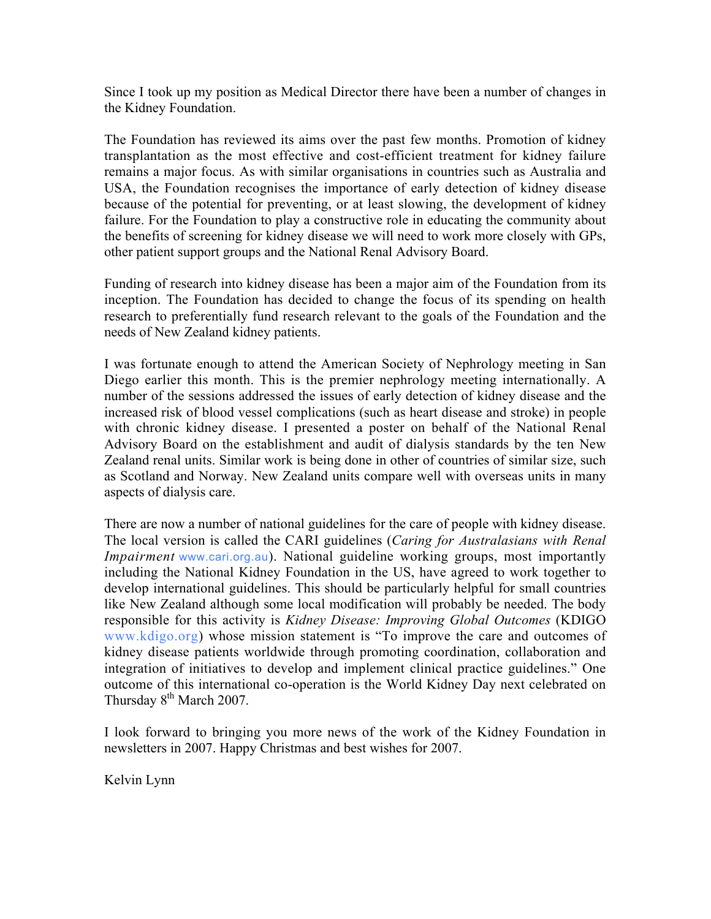Since I took up my position as Medical Director there have been a number of changes in the Kidney Foundation.

The Foundation has reviewed its aims over the past few months. Promotion of kidney transplantation as the most effective and cost-efficient treatment for kidney failure remains a major focus. As with similar organisations in countries such as Australia and USA, the Foundation recognises the importance of early detection of kidney disease because of the potential for preventing, or at least slowing, the development of kidney failure. For the Foundation to play a constructive role in educating the community about the benefits of screening for kidney disease we will need to work more closely with GPs, other patient support groups and the National Renal Advisory Board.

Funding of research into kidney disease has been a major aim of the Foundation from its inception. The Foundation has decided to change the focus of its spending on health research to preferentially fund research relevant to the goals of the Foundation and the needs of New Zealand kidney patients.

I was fortunate enough to attend the American Society of Nephrology meeting in San Diego earlier this month. This is the premier nephrology meeting internationally. A number of the sessions addressed the issues of early detection of kidney disease and the increased risk of blood vessel complications (such as heart disease and stroke) in people with chronic kidney disease. I presented a poster on behalf of the National Renal Advisory Board on the establishment and audit of dialysis standards by the ten New Zealand renal units. Similar work is being done in other of countries of similar size, such as Scotland and Norway. New Zealand units compare well with overseas units in many aspects of dialysis care.

There are now a number of national guidelines for the care of people with kidney disease. The local version is called the CARI guidelines (*Caring for Australasians with Renal Impairment* www.cari.org.au). National guideline working groups, most importantly including the National Kidney Foundation in the US, have agreed to work together to develop international guidelines. This should be particularly helpful for small countries like New Zealand although some local modification will probably be needed. The body responsible for this activity is *Kidney Disease: Improving Global Outcomes* (KDIGO www.kdigo.org) whose mission statement is "To improve the care and outcomes of kidney disease patients worldwide through promoting coordination, collaboration and integration of initiatives to develop and implement clinical practice guidelines." One outcome of this international co-operation is the World Kidney Day next celebrated on Thursday 8<sup>th</sup> March 2007.

I look forward to bringing you more news of the work of the Kidney Foundation in newsletters in 2007. Happy Christmas and best wishes for 2007.

Kelvin Lynn